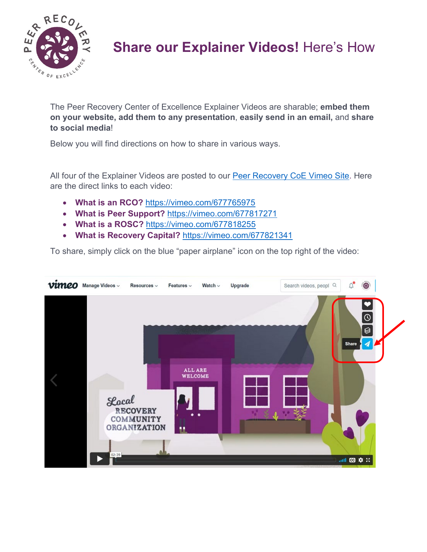

## **Share our Explainer Videos!** Here's How

The Peer Recovery Center of Excellence Explainer Videos are sharable; **embed them on your website, add them to any presentation**, **easily send in an email,** and **share to social media**!

Below you will find directions on how to share in various ways.

All four of the Explainer Videos are posted to our [Peer Recovery CoE Vimeo Site.](https://vimeo.com/peerrecoverynow) Here are the direct links to each video:

- **What is an RCO?** <https://vimeo.com/677765975>
- **What is Peer Support?** <https://vimeo.com/677817271>
- **What is a ROSC?** <https://vimeo.com/677818255>
- What is Recovery Capital? <https://vimeo.com/677821341>

To share, simply click on the blue "paper airplane" icon on the top right of the video:

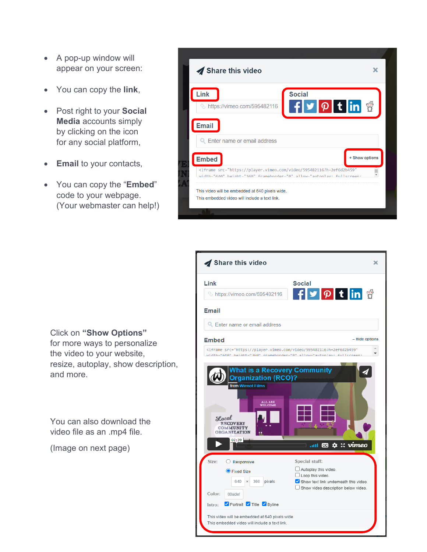- A pop-up window will appear on your screen:
- You can copy the **link**,
- Post right to your **Social Media** accounts simply by clicking on the icon for any social platform,
- **Email** to your contacts,
- You can copy the "**Embed**" code to your webpage. (Your webmaster can help!)



| Link<br>& https://vimeo.com/595482116                                                                                                                   | <b>Social</b><br>F y p t in g                                                                                            |
|---------------------------------------------------------------------------------------------------------------------------------------------------------|--------------------------------------------------------------------------------------------------------------------------|
| <b>Email</b>                                                                                                                                            |                                                                                                                          |
| Enter name or email address                                                                                                                             |                                                                                                                          |
| <b>Embed</b>                                                                                                                                            | - Hide options                                                                                                           |
| <iframe <br="" src="https://player.vimeo.com/video/595482116?h=2ef6d2b459">width-"640" height-"360" frameborder-"0" allow-"autorlay: fullcreen</iframe> |                                                                                                                          |
|                                                                                                                                                         |                                                                                                                          |
| ALL ARE<br>WELCOME<br>Local<br><b>RECOVERY</b><br><b>COMMUNITY</b><br><b>ORGANIZATION</b><br>02:39                                                      | $\mathbf{C}$ $\mathbf{\dot{\alpha}}$ :: vimeo<br>anti -                                                                  |
| Size:<br>Responsive<br>O                                                                                                                                | Special stuff:                                                                                                           |
| ● Fixed Size<br>640<br>360<br>pixels<br>$\times$                                                                                                        | Autoplay this video.<br>Loop this video.<br>Show text link underneath this video.<br>Show video description below video. |
| Color:<br>00adef<br>Portrait Title Byline<br>Intro:                                                                                                     |                                                                                                                          |

Click on **"Show Options"** for more ways to personalize the video to your website, resize, autoplay, show description, and more.

You can also download the video file as an .mp4 file.

(Image on next page)